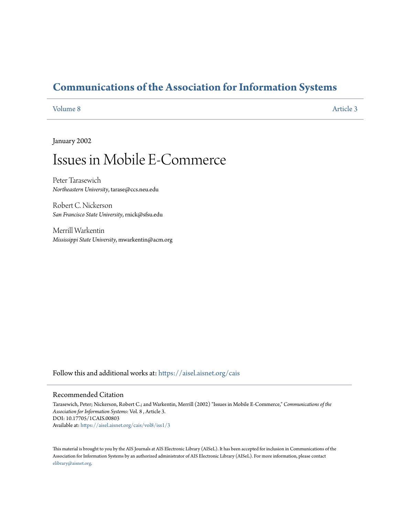# **[Communications of the Association for Information Systems](https://aisel.aisnet.org/cais?utm_source=aisel.aisnet.org%2Fcais%2Fvol8%2Fiss1%2F3&utm_medium=PDF&utm_campaign=PDFCoverPages)**

[Volume 8](https://aisel.aisnet.org/cais/vol8?utm_source=aisel.aisnet.org%2Fcais%2Fvol8%2Fiss1%2F3&utm_medium=PDF&utm_campaign=PDFCoverPages) [Article 3](https://aisel.aisnet.org/cais/vol8/iss1/3?utm_source=aisel.aisnet.org%2Fcais%2Fvol8%2Fiss1%2F3&utm_medium=PDF&utm_campaign=PDFCoverPages)

January 2002

# Issues in Mobile E-Commerce

Peter Tarasewich *Northeastern University*, tarase@ccs.neu.edu

Robert C. Nickerson *San Francisco State University*, rnick@sfsu.edu

Merrill Warkentin *Mississippi State University*, mwarkentin@acm.org

Follow this and additional works at: [https://aisel.aisnet.org/cais](https://aisel.aisnet.org/cais?utm_source=aisel.aisnet.org%2Fcais%2Fvol8%2Fiss1%2F3&utm_medium=PDF&utm_campaign=PDFCoverPages)

#### Recommended Citation

Tarasewich, Peter; Nickerson, Robert C.; and Warkentin, Merrill (2002) "Issues in Mobile E-Commerce," *Communications of the Association for Information Systems*: Vol. 8 , Article 3. DOI: 10.17705/1CAIS.00803 Available at: [https://aisel.aisnet.org/cais/vol8/iss1/3](https://aisel.aisnet.org/cais/vol8/iss1/3?utm_source=aisel.aisnet.org%2Fcais%2Fvol8%2Fiss1%2F3&utm_medium=PDF&utm_campaign=PDFCoverPages)

This material is brought to you by the AIS Journals at AIS Electronic Library (AISeL). It has been accepted for inclusion in Communications of the Association for Information Systems by an authorized administrator of AIS Electronic Library (AISeL). For more information, please contact [elibrary@aisnet.org.](mailto:elibrary@aisnet.org%3E)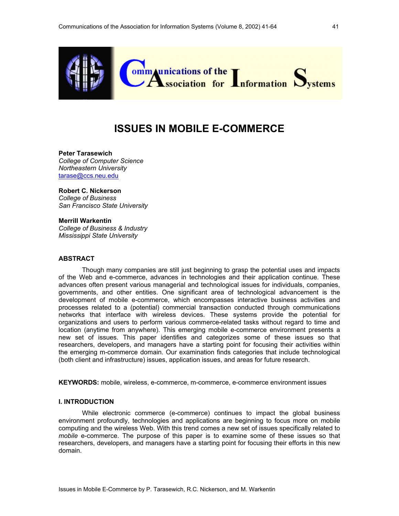

# **ISSUES IN MOBILE E-COMMERCE**

## **Peter Tarasewich**

*College of Computer Science Northeastern University*  tarase@ccs.neu.edu

#### **Robert C. Nickerson**

*College of Business San Francisco State University* 

#### **Merrill Warkentin**

*College of Business & Industry Mississippi State University*

#### **ABSTRACT**

Though many companies are still just beginning to grasp the potential uses and impacts of the Web and e-commerce, advances in technologies and their application continue. These advances often present various managerial and technological issues for individuals, companies, governments, and other entities. One significant area of technological advancement is the development of mobile e-commerce, which encompasses interactive business activities and processes related to a (potential) commercial transaction conducted through communications networks that interface with wireless devices. These systems provide the potential for organizations and users to perform various commerce-related tasks without regard to time and location (anytime from anywhere). This emerging mobile e-commerce environment presents a new set of issues. This paper identifies and categorizes some of these issues so that researchers, developers, and managers have a starting point for focusing their activities within the emerging m-commerce domain. Our examination finds categories that include technological (both client and infrastructure) issues, application issues, and areas for future research.

**KEYWORDS:** mobile, wireless, e-commerce, m-commerce, e-commerce environment issues

#### **I. INTRODUCTION**

While electronic commerce (e-commerce) continues to impact the global business environment profoundly, technologies and applications are beginning to focus more on mobile computing and the wireless Web. With this trend comes a new set of issues specifically related to *mobile* e-commerce. The purpose of this paper is to examine some of these issues so that researchers, developers, and managers have a starting point for focusing their efforts in this new domain.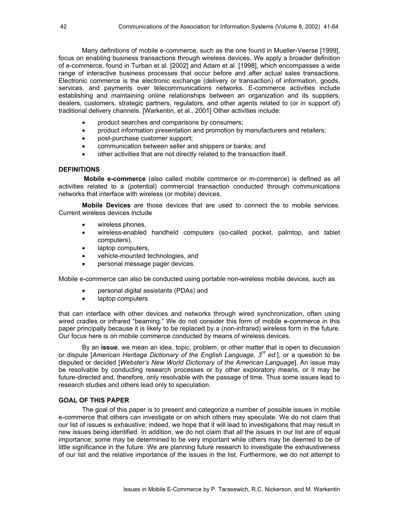Many definitions of mobile e-commerce, such as the one found in Mueller-Veerse [1999], focus on enabling business transactions through wireless devices. We apply a broader definition of e-commerce, found in Turban et al. [2002] and Adam et al. [1998], which encompasses a wide range of interactive business processes that occur before and after actual sales transactions. Electronic commerce is the electronic exchange (delivery or transaction) of information, goods, services, and payments over telecommunications networks. E-commerce activities include establishing and maintaining online relationships between an organization and its suppliers, dealers, customers, strategic partners, regulators, and other agents related to (or in support of) traditional delivery channels. [Warkentin, et al., 2001] Other activities include:

- product searches and comparisons by consumers;
- product information presentation and promotion by manufacturers and retailers;
- post-purchase customer support;
- communication between seller and shippers or banks; and
- other activities that are not directly related to the transaction itself.

#### **DEFINITIONS**

 **Mobile e-commerce** (also called mobile commerce or m-commerce) is defined as all activities related to a (potential) commercial transaction conducted through communications networks that interface with wireless (or mobile) devices.

 **Mobile Devices** are those devices that are used to connect the to mobile services. Current wireless devices include

- wireless phones,
- wireless-enabled handheld computers (so-called pocket, palmtop, and tablet computers),
- laptop computers,
- vehicle-mounted technologies, and
- personal message pager devices.

Mobile e-commerce can also be conducted using portable non-wireless mobile devices, such as

- personal digital assistants (PDAs) and
- laptop computers

that can interface with other devices and networks through wired synchronization, often using wired cradles or infrared "beaming." We do not consider this form of mobile e-commerce in this paper principally because it is likely to be replaced by a (non-infrared) wireless form in the future. Our focus here is on mobile commerce conducted by means of wireless devices.

By an **issue**, we mean an idea, topic, problem, or other matter that is open to discussion or dispute [*American Heritage Dictionary of the English Language, 3rd ed.*], or a question to be disputed or decided [*Webster's New World Dictionary of the American Language*]. An issue may be resolvable by conducting research processes or by other exploratory means, or it may be future-directed and, therefore, only resolvable with the passage of time. Thus some issues lead to research studies and others lead only to speculation.

#### **GOAL OF THIS PAPER**

The goal of this paper is to present and categorize a number of possible issues in mobile e-commerce that others can investigate or on which others may speculate. We do not claim that our list of issues is exhaustive; indeed, we hope that it will lead to investigations that may result in new issues being identified. In addition, we do not claim that all the issues in our list are of equal importance; some may be determined to be very important while others may be deemed to be of little significance in the future. We are planning future research to investigate the exhaustiveness of our list and the relative importance of the issues in the list. Furthermore, we do not attempt to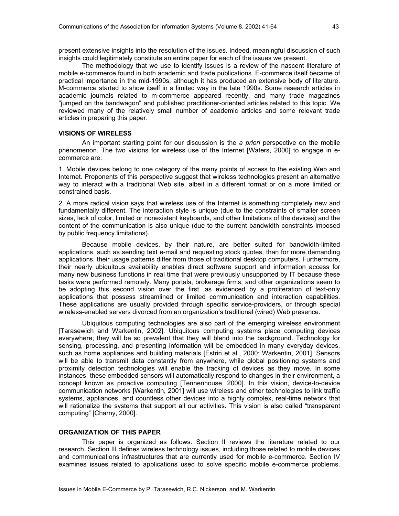present extensive insights into the resolution of the issues. Indeed, meaningful discussion of such insights could legitimately constitute an entire paper for each of the issues we present.

The methodology that we use to identify issues is a review of the nascent literature of mobile e-commerce found in both academic and trade publications. E-commerce itself became of practical importance in the mid-1990s, although it has produced an extensive body of literature. M-commerce started to show itself in a limited way in the late 1990s. Some research articles in academic journals related to m-commerce appeared recently, and many trade magazines "jumped on the bandwagon" and published practitioner-oriented articles related to this topic. We reviewed many of the relatively small number of academic articles and some relevant trade articles in preparing this paper.

#### **VISIONS OF WIRELESS**

An important starting point for our discussion is the *a priori* perspective on the mobile phenomenon. The two visions for wireless use of the Internet [Waters, 2000] to engage in ecommerce are:

1. Mobile devices belong to one category of the many points of access to the existing Web and Internet. Proponents of this perspective suggest that wireless technologies present an alternative way to interact with a traditional Web site, albeit in a different format or on a more limited or constrained basis.

2. A more radical vision says that wireless use of the Internet is something completely new and fundamentally different. The interaction style is unique (due to the constraints of smaller screen sizes, lack of color, limited or nonexistent keyboards, and other limitations of the devices) and the content of the communication is also unique (due to the current bandwidth constraints imposed by public frequency limitations).

Because mobile devices, by their nature, are better suited for bandwidth-limited applications, such as sending text e-mail and requesting stock quotes, than for more demanding applications, their usage patterns differ from those of traditional desktop computers. Furthermore, their nearly ubiquitous availability enables direct software support and information access for many new business functions in real time that were previously unsupported by IT because these tasks were performed remotely. Many portals, brokerage firms, and other organizations seem to be adopting this second vision over the first, as evidenced by a proliferation of text-only applications that possess streamlined or limited communication and interaction capabilities. These applications are usually provided through specific service-providers, or through special wireless-enabled servers divorced from an organization's traditional (wired) Web presence.

Ubiquitous computing technologies are also part of the emerging wireless environment [Tarasewich and Warkentin, 2002]. Ubiquitous computing systems place computing devices everywhere; they will be so prevalent that they will blend into the background. Technology for sensing, processing, and presenting information will be embedded in many everyday devices, such as home appliances and building materials [Estrin et al., 2000; Warkentin, 2001]. Sensors will be able to transmit data constantly from anywhere, while global positioning systems and proximity detection technologies will enable the tracking of devices as they move. In some instances, these embedded sensors will automatically respond to changes in their environment, a concept known as proactive computing [Tennenhouse, 2000]. In this vision, device-to-device communication networks [Warkentin, 2001] will use wireless and other technologies to link traffic systems, appliances, and countless other devices into a highly complex, real-time network that will rationalize the systems that support all our activities. This vision is also called "transparent computing" [Charny, 2000].

#### **ORGANIZATION OF THIS PAPER**

This paper is organized as follows. Section II reviews the literature related to our research. Section III defines wireless technology issues, including those related to mobile devices and communications infrastructures that are currently used for mobile e-commerce. Section IV examines issues related to applications used to solve specific mobile e-commerce problems.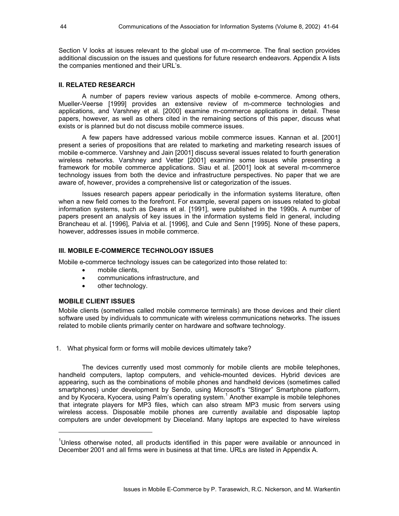Section V looks at issues relevant to the global use of m-commerce. The final section provides additional discussion on the issues and questions for future research endeavors. Appendix A lists the companies mentioned and their URL's.

#### **II. RELATED RESEARCH**

A number of papers review various aspects of mobile e-commerce. Among others, Mueller-Veerse [1999] provides an extensive review of m-commerce technologies and applications, and Varshney et al. [2000] examine m-commerce applications in detail. These papers, however, as well as others cited in the remaining sections of this paper, discuss what exists or is planned but do not discuss mobile commerce issues.

A few papers have addressed various mobile commerce issues. Kannan et al. [2001] present a series of propositions that are related to marketing and marketing research issues of mobile e-commerce. Varshney and Jain [2001] discuss several issues related to fourth generation wireless networks. Varshney and Vetter [2001] examine some issues while presenting a framework for mobile commerce applications. Siau et al. [2001] look at several m-commerce technology issues from both the device and infrastructure perspectives. No paper that we are aware of, however, provides a comprehensive list or categorization of the issues.

Issues research papers appear periodically in the information systems literature, often when a new field comes to the forefront. For example, several papers on issues related to global information systems, such as Deans et al. [1991], were published in the 1990s. A number of papers present an analysis of key issues in the information systems field in general, including Brancheau et al. [1996], Palvia et al. [1996], and Cule and Senn [1995]. None of these papers, however, addresses issues in mobile commerce.

#### **III. MOBILE E-COMMERCE TECHNOLOGY ISSUES**

Mobile e-commerce technology issues can be categorized into those related to:

- mobile clients.
- communications infrastructure, and
- other technology.

#### **MOBILE CLIENT ISSUES**

l

Mobile clients (sometimes called mobile commerce terminals) are those devices and their client software used by individuals to communicate with wireless communications networks. The issues related to mobile clients primarily center on hardware and software technology.

1. What physical form or forms will mobile devices ultimately take?

 The devices currently used most commonly for mobile clients are mobile telephones, handheld computers, laptop computers, and vehicle-mounted devices. Hybrid devices are appearing, such as the combinations of mobile phones and handheld devices (sometimes called smartphones) under development by Sendo, using Microsoft's "Stinger" Smartphone platform, and by Kyocera, Kyocera, using Palm's operating system.<sup>1</sup> Another example is mobile telephones that integrate players for MP3 files, which can also stream MP3 music from servers using wireless access. Disposable mobile phones are currently available and disposable laptop computers are under development by Dieceland. Many laptops are expected to have wireless

<sup>&</sup>lt;sup>1</sup>Unless otherwise noted, all products identified in this paper were available or announced in December 2001 and all firms were in business at that time. URLs are listed in Appendix A.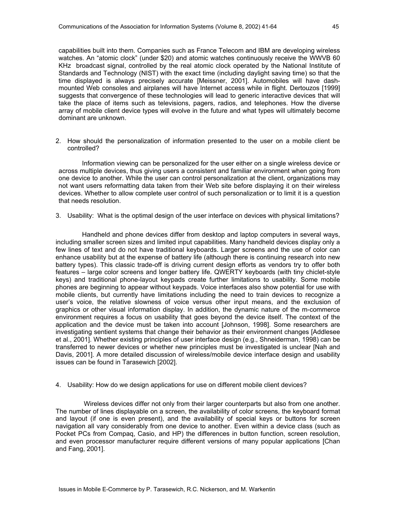capabilities built into them. Companies such as France Telecom and IBM are developing wireless watches. An "atomic clock" (under \$20) and atomic watches continuously receive the WWVB 60 KHz broadcast signal, controlled by the real atomic clock operated by the National Institute of Standards and Technology (NIST) with the exact time (including daylight saving time) so that the time displayed is always precisely accurate [Meissner, 2001]. Automobiles will have dashmounted Web consoles and airplanes will have Internet access while in flight. Dertouzos [1999] suggests that convergence of these technologies will lead to generic interactive devices that will take the place of items such as televisions, pagers, radios, and telephones. How the diverse array of mobile client device types will evolve in the future and what types will ultimately become dominant are unknown.

2. How should the personalization of information presented to the user on a mobile client be controlled?

Information viewing can be personalized for the user either on a single wireless device or across multiple devices, thus giving users a consistent and familiar environment when going from one device to another. While the user can control personalization at the client, organizations may not want users reformatting data taken from their Web site before displaying it on their wireless devices. Whether to allow complete user control of such personalization or to limit it is a question that needs resolution.

3. Usability: What is the optimal design of the user interface on devices with physical limitations?

Handheld and phone devices differ from desktop and laptop computers in several ways, including smaller screen sizes and limited input capabilities. Many handheld devices display only a few lines of text and do not have traditional keyboards. Larger screens and the use of color can enhance usability but at the expense of battery life (although there is continuing research into new battery types). This classic trade-off is driving current design efforts as vendors try to offer both features – large color screens and longer battery life. QWERTY keyboards (with tiny chiclet-style keys) and traditional phone-layout keypads create further limitations to usability. Some mobile phones are beginning to appear without keypads. Voice interfaces also show potential for use with mobile clients, but currently have limitations including the need to train devices to recognize a user's voice, the relative slowness of voice versus other input means, and the exclusion of graphics or other visual information display. In addition, the dynamic nature of the m-commerce environment requires a focus on usability that goes beyond the device itself. The context of the application and the device must be taken into account [Johnson, 1998]. Some researchers are investigating sentient systems that change their behavior as their environment changes [Addlesee et al., 2001]. Whether existing principles of user interface design (e.g., Shneiderman, 1998) can be transferred to newer devices or whether new principles must be investigated is unclear [Nah and Davis, 2001]. A more detailed discussion of wireless/mobile device interface design and usability issues can be found in Tarasewich [2002].

4. Usability: How do we design applications for use on different mobile client devices?

 Wireless devices differ not only from their larger counterparts but also from one another. The number of lines displayable on a screen, the availability of color screens, the keyboard format and layout (if one is even present), and the availability of special keys or buttons for screen navigation all vary considerably from one device to another. Even within a device class (such as Pocket PCs from Compaq, Casio, and HP) the differences in button function, screen resolution, and even processor manufacturer require different versions of many popular applications [Chan and Fang, 2001].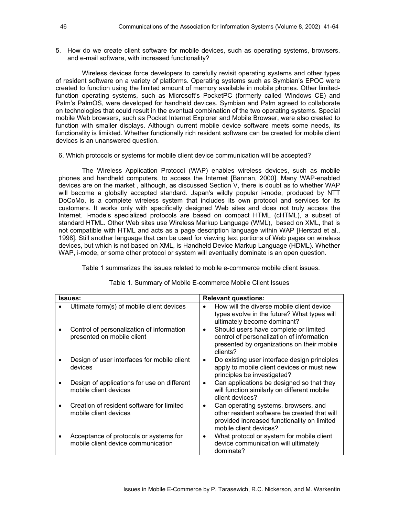5. How do we create client software for mobile devices, such as operating systems, browsers, and e-mail software, with increased functionality?

 Wireless devices force developers to carefully revisit operating systems and other types of resident software on a variety of platforms. Operating systems such as Symbian's EPOC were created to function using the limited amount of memory available in mobile phones. Other limitedfunction operating systems, such as Microsoft's PocketPC (formerly called Windows CE) and Palm's PalmOS, were developed for handheld devices. Symbian and Palm agreed to collaborate on technologies that could result in the eventual combination of the two operating systems. Special mobile Web browsers, such as Pocket Internet Explorer and Mobile Browser, were also created to function with smaller displays. Although current mobile device software meets some needs, its functionality is limikted. Whether functionally rich resident software can be created for mobile client devices is an unanswered question.

6. Which protocols or systems for mobile client device communication will be accepted?

The Wireless Application Protocol (WAP) enables wireless devices, such as mobile phones and handheld computers, to access the Internet [Bannan, 2000]. Many WAP-enabled devices are on the market , although, as discussed Section V, there is doubt as to whether WAP will become a globally accepted standard. Japan's wildly popular i-mode, produced by NTT DoCoMo, is a complete wireless system that includes its own protocol and services for its customers. It works only with specifically designed Web sites and does not truly access the Internet. I-mode's specialized protocols are based on compact HTML (cHTML), a subset of standard HTML. Other Web sites use Wireless Markup Language (WML), based on XML, that is not compatible with HTML and acts as a page description language within WAP [Herstad et al., 1998]. Still another language that can be used for viewing text portions of Web pages on wireless devices, but which is not based on XML, is Handheld Device Markup Language (HDML). Whether WAP, i-mode, or some other protocol or system will eventually dominate is an open question.

Table 1 summarizes the issues related to mobile e-commerce mobile client issues.

| <b>Issues:</b>                                                               | <b>Relevant questions:</b>                                                                                                                                    |  |
|------------------------------------------------------------------------------|---------------------------------------------------------------------------------------------------------------------------------------------------------------|--|
| Ultimate form(s) of mobile client devices                                    | How will the diverse mobile client device<br>types evolve in the future? What types will<br>ultimately become dominant?                                       |  |
| Control of personalization of information<br>presented on mobile client      | Should users have complete or limited<br>control of personalization of information<br>presented by organizations on their mobile<br>clients?                  |  |
| Design of user interfaces for mobile client<br>devices                       | Do existing user interface design principles<br>apply to mobile client devices or must new<br>principles be investigated?                                     |  |
| Design of applications for use on different<br>mobile client devices         | Can applications be designed so that they<br>will function similarly on different mobile<br>client devices?                                                   |  |
| Creation of resident software for limited<br>mobile client devices           | Can operating systems, browsers, and<br>other resident software be created that will<br>provided increased functionality on limited<br>mobile client devices? |  |
| Acceptance of protocols or systems for<br>mobile client device communication | What protocol or system for mobile client<br>device communication will ultimately<br>dominate?                                                                |  |

Table 1. Summary of Mobile E-commerce Mobile Client Issues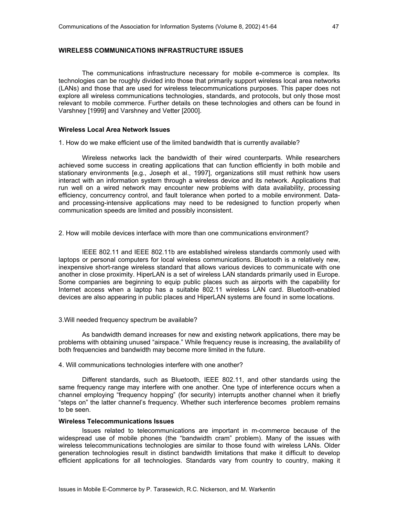#### **WIRELESS COMMUNICATIONS INFRASTRUCTURE ISSUES**

The communications infrastructure necessary for mobile e-commerce is complex. Its technologies can be roughly divided into those that primarily support wireless local area networks (LANs) and those that are used for wireless telecommunications purposes. This paper does not explore all wireless communications technologies, standards, and protocols, but only those most relevant to mobile commerce. Further details on these technologies and others can be found in Varshney [1999] and Varshney and Vetter [2000].

#### **Wireless Local Area Network Issues**

1. How do we make efficient use of the limited bandwidth that is currently available?

Wireless networks lack the bandwidth of their wired counterparts. While researchers achieved some success in creating applications that can function efficiently in both mobile and stationary environments [e.g., Joseph et al., 1997], organizations still must rethink how users interact with an information system through a wireless device and its network. Applications that run well on a wired network may encounter new problems with data availability, processing efficiency, concurrency control, and fault tolerance when ported to a mobile environment. Dataand processing-intensive applications may need to be redesigned to function properly when communication speeds are limited and possibly inconsistent.

2. How will mobile devices interface with more than one communications environment?

IEEE 802.11 and IEEE 802.11b are established wireless standards commonly used with laptops or personal computers for local wireless communications. Bluetooth is a relatively new, inexpensive short-range wireless standard that allows various devices to communicate with one another in close proximity. HiperLAN is a set of wireless LAN standards primarily used in Europe. Some companies are beginning to equip public places such as airports with the capability for Internet access when a laptop has a suitable 802.11 wireless LAN card. Bluetooth-enabled devices are also appearing in public places and HiperLAN systems are found in some locations.

#### 3.Will needed frequency spectrum be available?

As bandwidth demand increases for new and existing network applications, there may be problems with obtaining unused "airspace." While frequency reuse is increasing, the availability of both frequencies and bandwidth may become more limited in the future.

#### 4. Will communications technologies interfere with one another?

Different standards, such as Bluetooth, IEEE 802.11, and other standards using the same frequency range may interfere with one another. One type of interference occurs when a channel employing "frequency hopping" (for security) interrupts another channel when it briefly "steps on" the latter channel's frequency. Whether such interference becomes problem remains to be seen.

#### **Wireless Telecommunications Issues**

 Issues related to telecommunications are important in m-commerce because of the widespread use of mobile phones (the "bandwidth cram" problem). Many of the issues with wireless telecommunications technologies are similar to those found with wireless LANs. Older generation technologies result in distinct bandwidth limitations that make it difficult to develop efficient applications for all technologies. Standards vary from country to country, making it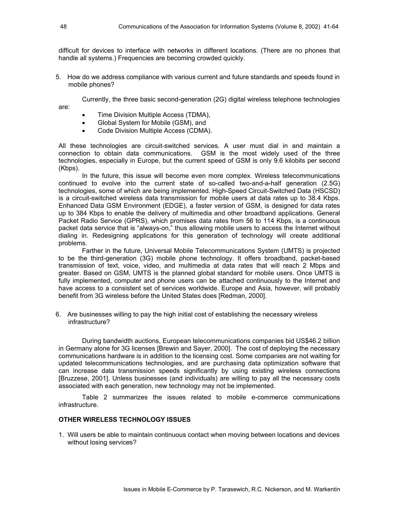difficult for devices to interface with networks in different locations. (There are no phones that handle all systems.) Frequencies are becoming crowded quickly.

5. How do we address compliance with various current and future standards and speeds found in mobile phones?

 Currently, the three basic second-generation (2G) digital wireless telephone technologies are:

- Time Division Multiple Access (TDMA),
- Global System for Mobile (GSM), and
- Code Division Multiple Access (CDMA).

All these technologies are circuit-switched services. A user must dial in and maintain a connection to obtain data communications. GSM is the most widely used of the three technologies, especially in Europe, but the current speed of GSM is only 9.6 kilobits per second (Kbps).

In the future, this issue will become even more complex. Wireless telecommunications continued to evolve into the current state of so-called two-and-a-half generation (2.5G) technologies, some of which are being implemented. High-Speed Circuit-Switched Data (HSCSD) is a circuit-switched wireless data transmission for mobile users at data rates up to 38.4 Kbps. Enhanced Data GSM Environment (EDGE), a faster version of GSM, is designed for data rates up to 384 Kbps to enable the delivery of multimedia and other broadband applications. General Packet Radio Service (GPRS), which promises data rates from 56 to 114 Kbps, is a continuous packet data service that is "always-on," thus allowing mobile users to access the Internet without dialing in. Redesigning applications for this generation of technology will create additional problems.

Farther in the future, Universal Mobile Telecommunications System (UMTS) is projected to be the third-generation (3G) mobile phone technology. It offers broadband, packet-based transmission of text, voice, video, and multimedia at data rates that will reach 2 Mbps and greater. Based on GSM, UMTS is the planned global standard for mobile users. Once UMTS is fully implemented, computer and phone users can be attached continuously to the Internet and have access to a consistent set of services worldwide. Europe and Asia, however, will probably benefit from 3G wireless before the United States does [Redman, 2000].

6. Are businesses willing to pay the high initial cost of establishing the necessary wireless infrastructure?

During bandwidth auctions, European telecommunications companies bid US\$46.2 billion in Germany alone for 3G licenses [Brewin and Sayer, 2000]. The cost of deploying the necessary communications hardware is in addition to the licensing cost. Some companies are not waiting for updated telecommunications technologies, and are purchasing data optimization software that can increase data transmission speeds significantly by using existing wireless connections [Bruzzese, 2001]. Unless businesses (and individuals) are willing to pay all the necessary costs associated with each generation, new technology may not be implemented.

Table 2 summarizes the issues related to mobile e-commerce communications infrastructure.

#### **OTHER WIRELESS TECHNOLOGY ISSUES**

1. Will users be able to maintain continuous contact when moving between locations and devices without losing services?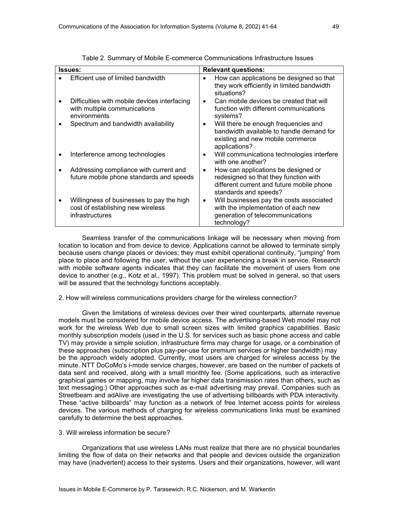| <b>Issues:</b>                                                                                    |           | <b>Relevant questions:</b>                                                                                                                         |
|---------------------------------------------------------------------------------------------------|-----------|----------------------------------------------------------------------------------------------------------------------------------------------------|
| Efficient use of limited bandwidth                                                                | $\bullet$ | How can applications be designed so that<br>they work efficiently in limited bandwidth<br>situations?                                              |
| Difficulties with mobile devices interfacing<br>with multiple communications<br>environments      | $\bullet$ | Can mobile devices be created that will<br>function with different communications<br>systems?                                                      |
| Spectrum and bandwidth availability                                                               | $\bullet$ | Will there be enough frequencies and<br>bandwidth available to handle demand for<br>existing and new mobile commerce<br>applications?              |
| Interference among technologies                                                                   | $\bullet$ | Will communications technologies interfere<br>with one another?                                                                                    |
| Addressing compliance with current and<br>future mobile phone standards and speeds                | ٠         | How can applications be designed or<br>redesigned so that they function with<br>different current and future mobile phone<br>standards and speeds? |
| Willingness of businesses to pay the high<br>cost of establishing new wireless<br>infrastructures | ٠         | Will businesses pay the costs associated<br>with the implementation of each new<br>generation of telecommunications<br>technology?                 |

Table 2. Summary of Mobile E-commerce Communications Infrastructure Issues

Seamless transfer of the communications linkage will be necessary when moving from location to location and from device to device. Applications cannot be allowed to terminate simply because users change places or devices; they must exhibit operational continuity, "jumping" from place to place and following the user, without the user experiencing a break in service. Research with mobile software agents indicates that they can facilitate the movement of users from one device to another (e.g., Kotz et al., 1997). This problem must be solved in general, so that users will be assured that the technology functions acceptably.

#### 2. How will wireless communications providers charge for the wireless connection?

Given the limitations of wireless devices over their wired counterparts, alternate revenue models must be considered for mobile device access. The advertising-based Web model may not work for the wireless Web due to small screen sizes with limited graphics capabilities. Basic monthly subscription models (used in the U.S. for services such as basic phone access and cable TV) may provide a simple solution, infrastructure firms may charge for usage, or a combination of these approaches (subscription plus pay-per-use for premium services or higher bandwidth) may be the approach widely adopted. Currently, most users are charged for wireless access by the minute. NTT DoCoMo's i-mode service charges, however, are based on the number of packets of data sent and received, along with a small monthly fee. (Some applications, such as interactive graphical games or mapping, may involve far higher data transmission rates than others, such as text messaging.) Other approaches such as e-mail advertising may prevail. Companies such as Streetbeam and adAlive are investigating the use of advertising billboards with PDA interactivity. These "active billboards" may function as a network of free Internet access points for wireless devices. The various methods of charging for wireless communications links must be examined carefully to determine the best approaches.

#### 3. Will wireless information be secure?

Organizations that use wireless LANs must realize that there are no physical boundaries limiting the flow of data on their networks and that people and devices outside the organization may have (inadvertent) access to their systems. Users and their organizations, however, will want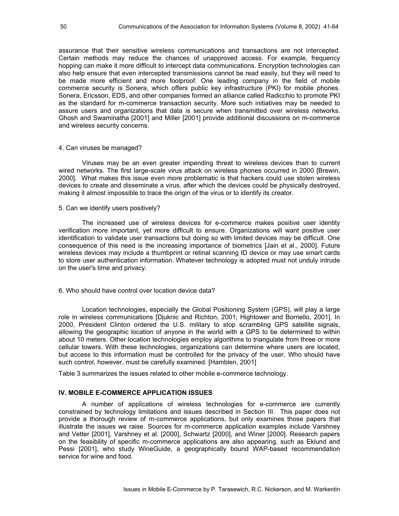assurance that their sensitive wireless communications and transactions are not intercepted. Certain methods may reduce the chances of unapproved access. For example, frequency hopping can make it more difficult to intercept data communications. Encryption technologies can also help ensure that even intercepted transmissions cannot be read easily, but they will need to be made more efficient and more foolproof. One leading company in the field of mobile commerce security is Sonera, which offers public key infrastructure (PKI) for mobile phones. Sonera, Ericsson, EDS, and other companies formed an alliance called Radicchio to promote PKI as the standard for m-commerce transaction security. More such initiatives may be needed to assure users and organizations that data is secure when transmitted over wireless networks. Ghosh and Swaminatha [2001] and Miller [2001] provide additional discussions on m-commerce and wireless security concerns.

#### 4. Can viruses be managed?

Viruses may be an even greater impending threat to wireless devices than to current wired networks. The first large-scale virus attack on wireless phones occurred in 2000 [Brewin, 2000]. What makes this issue even more problematic is that hackers could use stolen wireless devices to create and disseminate a virus, after which the devices could be physically destroyed, making it almost impossible to trace the origin of the virus or to identify its creator.

#### 5. Can we identify users positively?

The increased use of wireless devices for e-commerce makes positive user identity verification more important, yet more difficult to ensure. Organizations will want positive user identification to validate user transactions but doing so with limited devices may be difficult. One consequence of this need is the increasing importance of biometrics [Jain et al., 2000]. Future wireless devices may include a thumbprint or retinal scanning ID device or may use smart cards to store user authentication information. Whatever technology is adopted must not unduly intrude on the user's time and privacy.

#### 6. Who should have control over location device data?

 Location technologies, especially the Global Positioning System (GPS), will play a large role in wireless communications [Djuknic and Richton, 2001; Hightower and Borriello, 2001]. In 2000, President Clinton ordered the U.S. military to stop scrambling GPS satellite signals, allowing the geographic location of anyone in the world with a GPS to be determined to within about 10 meters. Other location technologies employ algorithms to triangulate from three or more cellular towers. With these technologies, organizations can determine where users are located, but access to this information must be controlled for the privacy of the user. Who should have such control, however, must be carefully examined. [Hamblen, 2001]

Table 3 summarizes the issues related to other mobile e-commerce technology.

#### **IV. MOBILE E-COMMERCE APPLICATION ISSUES**

A number of applications of wireless technologies for e-commerce are currently constrained by technology limitations and issues described in Section III. This paper does not provide a thorough review of m-commerce applications, but only examines those papers that illustrate the issues we raise. Sources for m-commerce application examples include Varshney and Vetter [2001], Varshney et al. [2000], Schwartz [2000], and Winer [2000]. Research papers on the feasibility of specific m-commerce applications are also appearing, such as Eklund and Pessi [2001], who study WineGuide, a geographically bound WAP-based recommendation service for wine and food.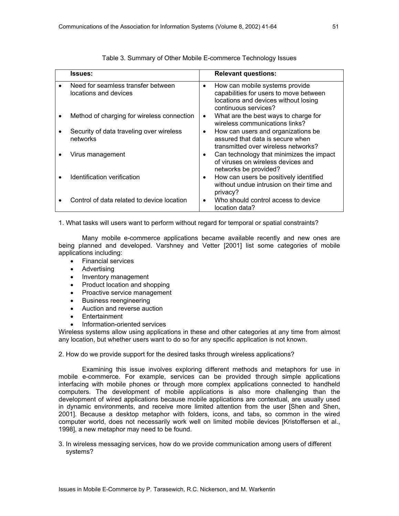| <b>Issues:</b>                                              |           | <b>Relevant questions:</b>                                                                                                               |
|-------------------------------------------------------------|-----------|------------------------------------------------------------------------------------------------------------------------------------------|
| Need for seamless transfer between<br>locations and devices | $\bullet$ | How can mobile systems provide<br>capabilities for users to move between<br>locations and devices without losing<br>continuous services? |
| Method of charging for wireless connection                  | ٠         | What are the best ways to charge for<br>wireless communications links?                                                                   |
| Security of data traveling over wireless<br>networks        | ٠         | How can users and organizations be<br>assured that data is secure when<br>transmitted over wireless networks?                            |
| Virus management                                            | $\bullet$ | Can technology that minimizes the impact<br>of viruses on wireless devices and<br>networks be provided?                                  |
| Identification verification                                 | $\bullet$ | How can users be positively identified<br>without undue intrusion on their time and<br>privacy?                                          |
| Control of data related to device location                  | $\bullet$ | Who should control access to device<br>location data?                                                                                    |

#### Table 3. Summary of Other Mobile E-commerce Technology Issues

1. What tasks will users want to perform without regard for temporal or spatial constraints?

Many mobile e-commerce applications became available recently and new ones are being planned and developed. Varshney and Vetter [2001] list some categories of mobile applications including:

- Financial services
- Advertising
- Inventory management
- Product location and shopping
- Proactive service management
- Business reengineering
- Auction and reverse auction
- **Entertainment**
- Information-oriented services

Wireless systems allow using applications in these and other categories at any time from almost any location, but whether users want to do so for any specific application is not known.

#### 2. How do we provide support for the desired tasks through wireless applications?

Examining this issue involves exploring different methods and metaphors for use in mobile e-commerce. For example, services can be provided through simple applications interfacing with mobile phones or through more complex applications connected to handheld computers. The development of mobile applications is also more challenging than the development of wired applications because mobile applications are contextual, are usually used in dynamic environments, and receive more limited attention from the user [Shen and Shen, 2001]. Because a desktop metaphor with folders, icons, and tabs, so common in the wired computer world, does not necessarily work well on limited mobile devices [Kristoffersen et al., 1998], a new metaphor may need to be found.

3. In wireless messaging services, how do we provide communication among users of different systems?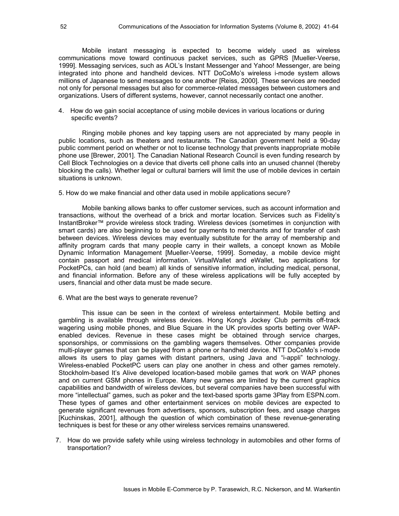Mobile instant messaging is expected to become widely used as wireless communications move toward continuous packet services, such as GPRS [Mueller-Veerse, 1999]. Messaging services, such as AOL's Instant Messenger and Yahoo! Messenger, are being integrated into phone and handheld devices. NTT DoCoMo's wireless i-mode system allows millions of Japanese to send messages to one another [Reiss, 2000]. These services are needed not only for personal messages but also for commerce-related messages between customers and organizations. Users of different systems, however, cannot necessarily contact one another.

4. How do we gain social acceptance of using mobile devices in various locations or during specific events?

Ringing mobile phones and key tapping users are not appreciated by many people in public locations, such as theaters and restaurants. The Canadian government held a 90-day public comment period on whether or not to license technology that prevents inappropriate mobile phone use [Brewer, 2001]. The Canadian National Research Council is even funding research by Cell Block Technologies on a device that diverts cell phone calls into an unused channel (thereby blocking the calls). Whether legal or cultural barriers will limit the use of mobile devices in certain situations is unknown.

5. How do we make financial and other data used in mobile applications secure?

Mobile banking allows banks to offer customer services, such as account information and transactions, without the overhead of a brick and mortar location. Services such as Fidelity's InstantBroker™ provide wireless stock trading. Wireless devices (sometimes in conjunction with smart cards) are also beginning to be used for payments to merchants and for transfer of cash between devices. Wireless devices may eventually substitute for the array of membership and affinity program cards that many people carry in their wallets, a concept known as Mobile Dynamic Information Management [Mueller-Veerse, 1999]. Someday, a mobile device might contain passport and medical information. VirtualWallet and eWallet, two applications for PocketPCs, can hold (and beam) all kinds of sensitive information, including medical, personal, and financial information. Before any of these wireless applications will be fully accepted by users, financial and other data must be made secure.

6. What are the best ways to generate revenue?

This issue can be seen in the context of wireless entertainment. Mobile betting and gambling is available through wireless devices. Hong Kong's Jockey Club permits off-track wagering using mobile phones, and Blue Square in the UK provides sports betting over WAPenabled devices. Revenue in these cases might be obtained through service charges, sponsorships, or commissions on the gambling wagers themselves. Other companies provide multi-player games that can be played from a phone or handheld device. NTT DoCoMo's i-mode allows its users to play games with distant partners, using Java and "i-appli" technology. Wireless-enabled PocketPC users can play one another in chess and other games remotely. Stockholm-based It's Alive developed location-based mobile games that work on WAP phones and on current GSM phones in Europe. Many new games are limited by the current graphics capabilities and bandwidth of wireless devices, but several companies have been successful with more "intellectual" games, such as poker and the text-based sports game 3Play from ESPN.com. These types of games and other entertainment services on mobile devices are expected to generate significant revenues from advertisers, sponsors, subscription fees, and usage charges [Kuchinskas, 2001], although the question of which combination of these revenue-generating techniques is best for these or any other wireless services remains unanswered.

7. How do we provide safety while using wireless technology in automobiles and other forms of transportation?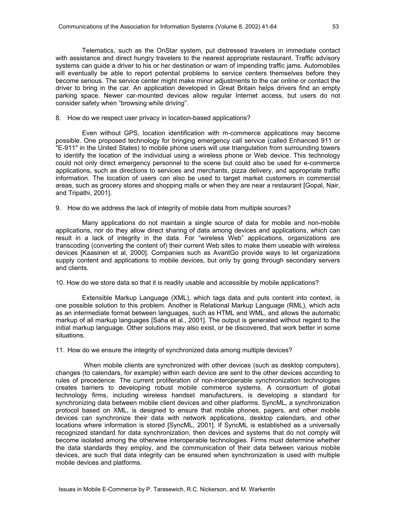Telematics, such as the OnStar system, put distressed travelers in immediate contact with assistance and direct hungry travelers to the nearest appropriate restaurant. Traffic advisory systems can guide a driver to his or her destination or warn of impending traffic jams. Automobiles will eventually be able to report potential problems to service centers themselves before they become serious. The service center might make minor adjustments to the car online or contact the driver to bring in the car. An application developed in Great Britain helps drivers find an empty parking space. Newer car-mounted devices allow regular Internet access, but users do not consider safety when "browsing while driving".

#### 8. How do we respect user privacy in location-based applications?

Even without GPS, location identification with m-commerce applications may become possible. One proposed technology for bringing emergency call service (called Enhanced 911 or "E-911" in the United States) to mobile phone users will use triangulation from surrounding towers to identify the location of the individual using a wireless phone or Web device. This technology could not only direct emergency personnel to the scene but could also be used for e-commerce applications, such as directions to services and merchants, pizza delivery, and appropriate traffic information. The location of users can also be used to target market customers in commercial areas, such as grocery stores and shopping malls or when they are near a restaurant [Gopal, Nair, and Tripathi, 2001].

9. How do we address the lack of integrity of mobile data from multiple sources?

Many applications do not maintain a single source of data for mobile and non-mobile applications, nor do they allow direct sharing of data among devices and applications, which can result in a lack of integrity in the data. For "wireless Web" applications, organizations are transcoding (converting the content of) their current Web sites to make them useable with wireless devices [Kaasinen et al, 2000]. Companies such as AvantGo provide ways to let organizations supply content and applications to mobile devices, but only by going through secondary servers and clients.

10. How do we store data so that it is readily usable and accessible by mobile applications?

Extensible Markup Language (XML), which tags data and puts content into context, is one possible solution to this problem. Another is Relational Markup Language (RML), which acts as an intermediate format between languages, such as HTML and WML, and allows the automatic markup of all markup languages [Saha et al., 2001]. The output is generated without regard to the initial markup language. Other solutions may also exist, or be discovered, that work better in some situations.

11. How do we ensure the integrity of synchronized data among multiple devices?

 When mobile clients are synchronized with other devices (such as desktop computers), changes (to calendars, for example) within each device are sent to the other devices according to rules of precedence. The current proliferation of non-interoperable synchronization technologies creates barriers to developing robust mobile commerce systems. A consortium of global technology firms, including wireless handset manufacturers, is developing a standard for synchronizing data between mobile client devices and other platforms. SyncML, a synchronization protocol based on XML, is designed to ensure that mobile phones, pagers, and other mobile devices can synchronize their data with network applications, desktop calendars, and other locations where information is stored [SyncML, 2001]. If SyncML is established as a universally recognized standard for data synchronization, then devices and systems that do not comply will become isolated among the otherwise interoperable technologies. Firms must determine whether the data standards they employ, and the communication of their data between various mobile devices, are such that data integrity can be ensured when synchronization is used with multiple mobile devices and platforms.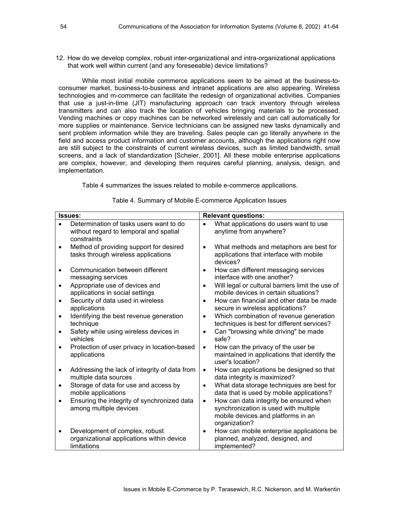12. How do we develop complex, robust inter-organizational and intra-organizational applications that work well within current (and any foreseeable) device limitations?

While most initial mobile commerce applications seem to be aimed at the business-toconsumer market, business-to-business and intranet applications are also appearing. Wireless technologies and m-commerce can facilitate the redesign of organizational activities. Companies that use a just-in-time (JIT) manufacturing approach can track inventory through wireless transmitters and can also track the location of vehicles bringing materials to be processed. Vending machines or copy machines can be networked wirelessly and can call automatically for more supplies or maintenance. Service technicians can be assigned new tasks dynamically and sent problem information while they are traveling. Sales people can go literally anywhere in the field and access product information and customer accounts, although the applications right now are still subject to the constraints of current wireless devices, such as limited bandwidth, small screens, and a lack of standardization [Scheier, 2001]. All these mobile enterprise applications are complex, however, and developing them requires careful planning, analysis, design, and implementation.

Table 4 summarizes the issues related to mobile e-commerce applications.

|           | <b>Issues:</b>                                                                                   | <b>Relevant questions:</b> |                                                                                                                                        |
|-----------|--------------------------------------------------------------------------------------------------|----------------------------|----------------------------------------------------------------------------------------------------------------------------------------|
|           | Determination of tasks users want to do<br>without regard to temporal and spatial<br>constraints |                            | What applications do users want to use<br>anytime from anywhere?                                                                       |
|           | Method of providing support for desired<br>tasks through wireless applications                   |                            | What methods and metaphors are best for<br>applications that interface with mobile<br>devices?                                         |
|           | Communication between different<br>messaging services                                            | $\bullet$                  | How can different messaging services<br>interface with one another?                                                                    |
| $\bullet$ | Appropriate use of devices and<br>applications in social settings                                | $\bullet$                  | Will legal or cultural barriers limit the use of<br>mobile devices in certain situations?                                              |
|           | Security of data used in wireless<br>applications                                                |                            | How can financial and other data be made<br>secure in wireless applications?                                                           |
| $\bullet$ | Identifying the best revenue generation<br>technique                                             |                            | Which combination of revenue generation<br>techniques is best for different services?                                                  |
|           | Safety while using wireless devices in<br>vehicles                                               | $\bullet$                  | Can "browsing while driving" be made<br>safe?                                                                                          |
|           | Protection of user privacy in location-based<br>applications                                     | $\bullet$                  | How can the privacy of the user be<br>maintained in applications that identify the<br>user's location?                                 |
|           | Addressing the lack of integrity of data from<br>multiple data sources                           | $\bullet$                  | How can applications be designed so that<br>data integrity is maximized?                                                               |
| $\bullet$ | Storage of data for use and access by<br>mobile applications                                     |                            | What data storage techniques are best for<br>data that is used by mobile applications?                                                 |
|           | Ensuring the integrity of synchronized data<br>among multiple devices                            | $\bullet$                  | How can data integrity be ensured when<br>synchronization is used with multiple<br>mobile devices and platforms in an<br>organization? |
|           | Development of complex, robust<br>organizational applications within device<br>limitations       | $\bullet$                  | How can mobile enterprise applications be<br>planned, analyzed, designed, and<br>implemented?                                          |

Table 4. Summary of Mobile E-commerce Application Issues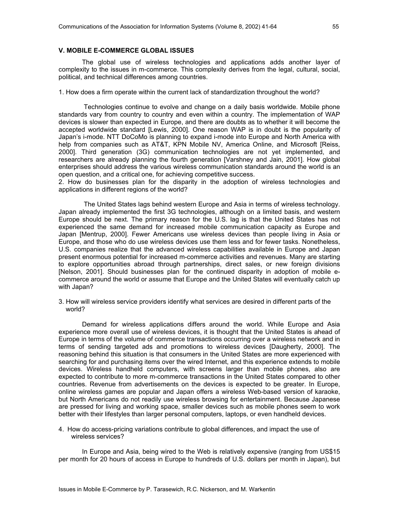#### **V. MOBILE E-COMMERCE GLOBAL ISSUES**

The global use of wireless technologies and applications adds another layer of complexity to the issues in m-commerce. This complexity derives from the legal, cultural, social, political, and technical differences among countries.

1. How does a firm operate within the current lack of standardization throughout the world?

 Technologies continue to evolve and change on a daily basis worldwide. Mobile phone standards vary from country to country and even within a country. The implementation of WAP devices is slower than expected in Europe, and there are doubts as to whether it will become the accepted worldwide standard [Lewis, 2000]. One reason WAP is in doubt is the popularity of Japan's i-mode. NTT DoCoMo is planning to expand i-mode into Europe and North America with help from companies such as AT&T, KPN Mobile NV, America Online, and Microsoft [Reiss, 2000]. Third generation (3G) communication technologies are not yet implemented, and researchers are already planning the fourth generation [Varshney and Jain, 2001]. How global enterprises should address the various wireless communication standards around the world is an open question, and a critical one, for achieving competitive success.

2. How do businesses plan for the disparity in the adoption of wireless technologies and applications in different regions of the world?

 The United States lags behind western Europe and Asia in terms of wireless technology. Japan already implemented the first 3G technologies, although on a limited basis, and western Europe should be next. The primary reason for the U.S. lag is that the United States has not experienced the same demand for increased mobile communication capacity as Europe and Japan [Mentrup, 2000]. Fewer Americans use wireless devices than people living in Asia or Europe, and those who do use wireless devices use them less and for fewer tasks. Nonetheless, U.S. companies realize that the advanced wireless capabilities available in Europe and Japan present enormous potential for increased m-commerce activities and revenues. Many are starting to explore opportunities abroad through partnerships, direct sales, or new foreign divisions [Nelson, 2001]. Should businesses plan for the continued disparity in adoption of mobile ecommerce around the world or assume that Europe and the United States will eventually catch up with Japan?

3. How will wireless service providers identify what services are desired in different parts of the world?

Demand for wireless applications differs around the world. While Europe and Asia experience more overall use of wireless devices, it is thought that the United States is ahead of Europe in terms of the volume of commerce transactions occurring over a wireless network and in terms of sending targeted ads and promotions to wireless devices [Daugherty, 2000]. The reasoning behind this situation is that consumers in the United States are more experienced with searching for and purchasing items over the wired Internet, and this experience extends to mobile devices. Wireless handheld computers, with screens larger than mobile phones, also are expected to contribute to more m-commerce transactions in the United States compared to other countries. Revenue from advertisements on the devices is expected to be greater. In Europe, online wireless games are popular and Japan offers a wireless Web-based version of karaoke, but North Americans do not readily use wireless browsing for entertainment. Because Japanese are pressed for living and working space, smaller devices such as mobile phones seem to work better with their lifestyles than larger personal computers, laptops, or even handheld devices.

4. How do access-pricing variations contribute to global differences, and impact the use of wireless services?

In Europe and Asia, being wired to the Web is relatively expensive (ranging from US\$15 per month for 20 hours of access in Europe to hundreds of U.S. dollars per month in Japan), but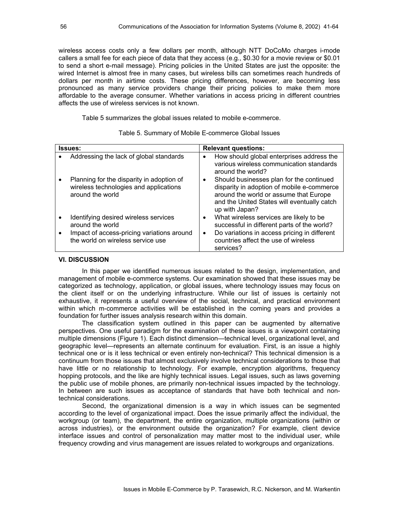wireless access costs only a few dollars per month, although NTT DoCoMo charges i-mode callers a small fee for each piece of data that they access (e.g., \$0.30 for a movie review or \$0.01 to send a short e-mail message). Pricing policies in the United States are just the opposite: the wired Internet is almost free in many cases, but wireless bills can sometimes reach hundreds of dollars per month in airtime costs. These pricing differences, however, are becoming less pronounced as many service providers change their pricing policies to make them more affordable to the average consumer. Whether variations in access pricing in different countries affects the use of wireless services is not known.

Table 5 summarizes the global issues related to mobile e-commerce.

| <b>Issues:</b> |                                                                                                                                              | <b>Relevant questions:</b> |                                                                                                                                                                                                   |
|----------------|----------------------------------------------------------------------------------------------------------------------------------------------|----------------------------|---------------------------------------------------------------------------------------------------------------------------------------------------------------------------------------------------|
|                | Addressing the lack of global standards                                                                                                      | $\bullet$                  | How should global enterprises address the<br>various wireless communication standards<br>around the world?                                                                                        |
|                | Planning for the disparity in adoption of<br>wireless technologies and applications<br>around the world                                      | ٠                          | Should businesses plan for the continued<br>disparity in adoption of mobile e-commerce<br>around the world or assume that Europe<br>and the United States will eventually catch<br>up with Japan? |
|                | Identifying desired wireless services<br>around the world<br>Impact of access-pricing variations around<br>the world on wireless service use | ٠<br>$\bullet$             | What wireless services are likely to be<br>successful in different parts of the world?<br>Do variations in access pricing in different<br>countries affect the use of wireless<br>services?       |

Table 5. Summary of Mobile E-commerce Global Issues

#### **VI. DISCUSSION**

In this paper we identified numerous issues related to the design, implementation, and management of mobile e-commerce systems. Our examination showed that these issues may be categorized as technology, application, or global issues, where technology issues may focus on the client itself or on the underlying infrastructure. While our list of issues is certainly not exhaustive, it represents a useful overview of the social, technical, and practical environment within which m-commerce activities will be established in the coming years and provides a foundation for further issues analysis research within this domain.

The classification system outlined in this paper can be augmented by alternative perspectives. One useful paradigm for the examination of these issues is a viewpoint containing multiple dimensions (Figure 1). Each distinct dimension—technical level, organizational level, and geographic level—represents an alternate continuum for evaluation. First, is an issue a highly technical one or is it less technical or even entirely non-technical? This technical dimension is a continuum from those issues that almost exclusively involve technical considerations to those that have little or no relationship to technology. For example, encryption algorithms, frequency hopping protocols, and the like are highly technical issues. Legal issues, such as laws governing the public use of mobile phones, are primarily non-technical issues impacted by the technology. In between are such issues as acceptance of standards that have both technical and nontechnical considerations.

Second, the organizational dimension is a way in which issues can be segmented according to the level of organizational impact. Does the issue primarily affect the individual, the workgroup (or team), the department, the entire organization, multiple organizations (within or across industries), or the environment outside the organization? For example, client device interface issues and control of personalization may matter most to the individual user, while frequency crowding and virus management are issues related to workgroups and organizations.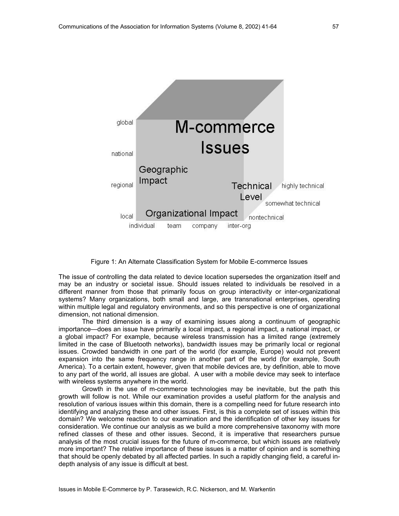

Figure 1: An Alternate Classification System for Mobile E-commerce Issues

The issue of controlling the data related to device location supersedes the organization itself and may be an industry or societal issue. Should issues related to individuals be resolved in a different manner from those that primarily focus on group interactivity or inter-organizational systems? Many organizations, both small and large, are transnational enterprises, operating within multiple legal and regulatory environments, and so this perspective is one of organizational dimension, not national dimension.

The third dimension is a way of examining issues along a continuum of geographic importance—does an issue have primarily a local impact, a regional impact, a national impact, or a global impact? For example, because wireless transmission has a limited range (extremely limited in the case of Bluetooth networks), bandwidth issues may be primarily local or regional issues. Crowded bandwidth in one part of the world (for example, Europe) would not prevent expansion into the same frequency range in another part of the world (for example, South America). To a certain extent, however, given that mobile devices are, by definition, able to move to any part of the world, all issues are global. A user with a mobile device may seek to interface with wireless systems anywhere in the world.

Growth in the use of m-commerce technologies may be inevitable, but the path this growth will follow is not. While our examination provides a useful platform for the analysis and resolution of various issues within this domain, there is a compelling need for future research into identifying and analyzing these and other issues. First, is this a complete set of issues within this domain? We welcome reaction to our examination and the identification of other key issues for consideration. We continue our analysis as we build a more comprehensive taxonomy with more refined classes of these and other issues. Second, it is imperative that researchers pursue analysis of the most crucial issues for the future of m-commerce, but which issues are relatively more important? The relative importance of these issues is a matter of opinion and is something that should be openly debated by all affected parties. In such a rapidly changing field, a careful indepth analysis of any issue is difficult at best.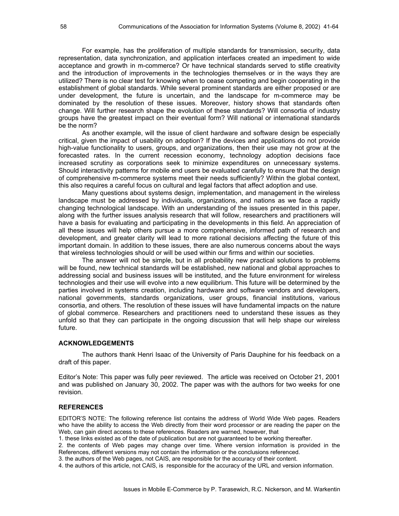For example, has the proliferation of multiple standards for transmission, security, data representation, data synchronization, and application interfaces created an impediment to wide acceptance and growth in m-commerce? Or have technical standards served to stifle creativity and the introduction of improvements in the technologies themselves or in the ways they are utilized? There is no clear test for knowing when to cease competing and begin cooperating in the establishment of global standards. While several prominent standards are either proposed or are under development, the future is uncertain, and the landscape for m-commerce may be dominated by the resolution of these issues. Moreover, history shows that standards often change. Will further research shape the evolution of these standards? Will consortia of industry groups have the greatest impact on their eventual form? Will national or international standards be the norm?

As another example, will the issue of client hardware and software design be especially critical, given the impact of usability on adoption? If the devices and applications do not provide high-value functionality to users, groups, and organizations, then their use may not grow at the forecasted rates. In the current recession economy, technology adoption decisions face increased scrutiny as corporations seek to minimize expenditures on unnecessary systems. Should interactivity patterns for mobile end users be evaluated carefully to ensure that the design of comprehensive m-commerce systems meet their needs sufficiently? Within the global context, this also requires a careful focus on cultural and legal factors that affect adoption and use.

Many questions about systems design, implementation, and management in the wireless landscape must be addressed by individuals, organizations, and nations as we face a rapidly changing technological landscape. With an understanding of the issues presented in this paper, along with the further issues analysis research that will follow, researchers and practitioners will have a basis for evaluating and participating in the developments in this field. An appreciation of all these issues will help others pursue a more comprehensive, informed path of research and development, and greater clarity will lead to more rational decisions affecting the future of this important domain. In addition to these issues, there are also numerous concerns about the ways that wireless technologies should or will be used within our firms and within our societies.

The answer will not be simple, but in all probability new practical solutions to problems will be found, new technical standards will be established, new national and global approaches to addressing social and business issues will be instituted, and the future environment for wireless technologies and their use will evolve into a new equilibrium. This future will be determined by the parties involved in systems creation, including hardware and software vendors and developers, national governments, standards organizations, user groups, financial institutions, various consortia, and others. The resolution of these issues will have fundamental impacts on the nature of global commerce. Researchers and practitioners need to understand these issues as they unfold so that they can participate in the ongoing discussion that will help shape our wireless future.

#### **ACKNOWLEDGEMENTS**

The authors thank Henri Isaac of the University of Paris Dauphine for his feedback on a draft of this paper.

Editor's Note: This paper was fully peer reviewed. The article was received on October 21, 2001 and was published on January 30, 2002. The paper was with the authors for two weeks for one revision.

#### **REFERENCES**

EDITOR'S NOTE: The following reference list contains the address of World Wide Web pages. Readers who have the ability to access the Web directly from their word processor or are reading the paper on the Web, can gain direct access to these references. Readers are warned, however, that

1. these links existed as of the date of publication but are not guaranteed to be working thereafter.

2. the contents of Web pages may change over time. Where version information is provided in the References, different versions may not contain the information or the conclusions referenced.

3. the authors of the Web pages, not CAIS, are responsible for the accuracy of their content.

4. the authors of this article, not CAIS, is responsible for the accuracy of the URL and version information.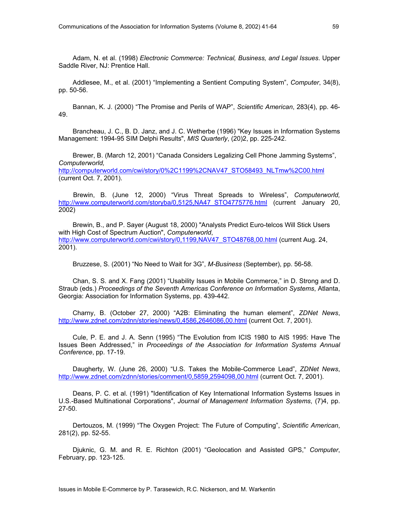Adam, N. et al. (1998) *Electronic Commerce: Technical, Business, and Legal Issues*. Upper Saddle River, NJ: Prentice Hall.

Addlesee, M., et al. (2001) "Implementing a Sentient Computing System", *Computer*, 34(8), pp. 50-56.

Bannan, K. J. (2000) "The Promise and Perils of WAP", *Scientific American*, 283(4), pp. 46- 49.

Brancheau, J. C., B. D. Janz, and J. C. Wetherbe (1996) "Key Issues in Information Systems Management: 1994-95 SIM Delphi Results", *MIS Quarterly*, (20)2, pp. 225-242.

Brewer, B. (March 12, 2001) "Canada Considers Legalizing Cell Phone Jamming Systems", *Computerworld,* 

http://computerworld.com/cwi/story/0%2C1199%2CNAV47\_STO58493\_NLTmw%2C00.html (current Oct. 7, 2001).

 Brewin, B. (June 12, 2000) "Virus Threat Spreads to Wireless", *Computerworld,*  http://www.computerworld.com/storyba/0,5125,NA47\_STO4775776.html (current January 20, 2002)

Brewin, B., and P. Sayer (August 18, 2000) "Analysts Predict Euro-telcos Will Stick Users with High Cost of Spectrum Auction", *Computerworld*, http://www.computerworld.com/cwi/story/0,1199,NAV47\_STO48768,00.html (current Aug. 24, 2001).

Bruzzese, S. (2001) "No Need to Wait for 3G", *M-Business* (September), pp. 56-58.

Chan, S. S. and X. Fang (2001) "Usability Issues in Mobile Commerce," in D. Strong and D. Straub (eds.) *Proceedings of the Seventh Americas Conference on Information Systems*, Atlanta, Georgia: Association for Information Systems, pp. 439-442.

Charny, B. (October 27, 2000) "A2B: Eliminating the human element", *ZDNet News*, http://www.zdnet.com/zdnn/stories/news/0,4586,2646086,00.html (current Oct. 7, 2001).

Cule, P. E. and J. A. Senn (1995) "The Evolution from ICIS 1980 to AIS 1995: Have The Issues Been Addressed," in *Proceedings of the Association for Information Systems Annual Conference*, pp. 17-19.

Daugherty, W. (June 26, 2000) "U.S. Takes the Mobile-Commerce Lead", *ZDNet News*, http://www.zdnet.com/zdnn/stories/comment/0,5859,2594098,00.html (current Oct. 7, 2001).

Deans, P. C. et al. (1991) "Identification of Key International Information Systems Issues in U.S.-Based Multinational Corporations", *Journal of Management Information Systems*, (7)4, pp. 27-50.

Dertouzos, M. (1999) "The Oxygen Project: The Future of Computing", *Scientific American*, 281(2), pp. 52-55.

Djuknic, G. M. and R. E. Richton (2001) "Geolocation and Assisted GPS," *Computer*, February, pp. 123-125.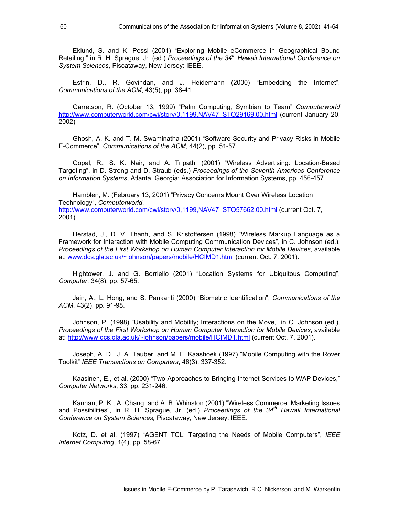Eklund, S. and K. Pessi (2001) "Exploring Mobile eCommerce in Geographical Bound Retailing," in R. H. Sprague, Jr. (ed.) *Proceedings of the 34th Hawaii International Conference on System Sciences*, Piscataway, New Jersey: IEEE.

Estrin, D., R. Govindan, and J. Heidemann (2000) "Embedding the Internet", *Communications of the ACM*, 43(5), pp. 38-41.

Garretson, R. (October 13, 1999) "Palm Computing, Symbian to Team" *Computerworld*  http://www.computerworld.com/cwi/story/0,1199,NAV47\_STO29169.00.html (current January 20, 2002)

Ghosh, A. K. and T. M. Swaminatha (2001) "Software Security and Privacy Risks in Mobile E-Commerce", *Communications of the ACM*, 44(2), pp. 51-57.

Gopal, R., S. K. Nair, and A. Tripathi (2001) "Wireless Advertising: Location-Based Targeting", in D. Strong and D. Straub (eds.) *Proceedings of the Seventh Americas Conference on Information Systems*, Atlanta, Georgia: Association for Information Systems, pp. 456-457.

Hamblen, M. (February 13, 2001) "Privacy Concerns Mount Over Wireless Location Technology", *Computerworld*, http://www.computerworld.com/cwi/story/0,1199.NAV47\_STO57662,00.html (current Oct. 7, 2001).

Herstad, J., D. V. Thanh, and S. Kristoffersen (1998) "Wireless Markup Language as a Framework for Interaction with Mobile Computing Communication Devices", in C. Johnson (ed.), *Proceedings of the First Workshop on Human Computer Interaction for Mobile Devices,* available at: www.dcs.gla.ac.uk/~johnson/papers/mobile/HCIMD1.html (current Oct. 7, 2001).

Hightower, J. and G. Borriello (2001) "Location Systems for Ubiquitous Computing", *Computer*, 34(8), pp. 57-65.

Jain, A., L. Hong, and S. Pankanti (2000) "Biometric Identification", *Communications of the ACM*, 43(2), pp. 91-98.

Johnson, P. (1998) "Usability and Mobility; Interactions on the Move," in C. Johnson (ed.), *Proceedings of the First Workshop on Human Computer Interaction for Mobile Devices*, available at: http://www.dcs.gla.ac.uk/~johnson/papers/mobile/HCIMD1.html (current Oct. 7, 2001).

Joseph, A. D., J. A. Tauber, and M. F. Kaashoek (1997) "Mobile Computing with the Rover Toolkit" *IEEE Transactions on Computers*, 46(3), 337-352.

Kaasinen, E., et al. (2000) "Two Approaches to Bringing Internet Services to WAP Devices," *Computer Networks*, 33, pp. 231-246.

Kannan, P. K., A. Chang, and A. B. Whinston (2001) "Wireless Commerce: Marketing Issues and Possibilities", in R. H. Sprague, Jr. (ed.) *Proceedings of the 34<sup>th</sup> Hawaii International Conference on System Sciences,* Piscataway, New Jersey: IEEE.

Kotz, D. et al. (1997) "AGENT TCL: Targeting the Needs of Mobile Computers", *IEEE Internet Computing*, 1(4), pp. 58-67.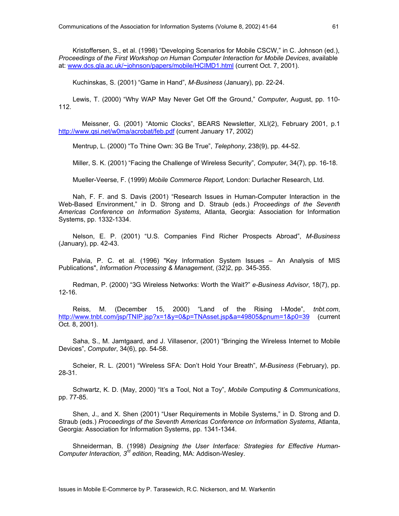Kristoffersen, S., et al. (1998) "Developing Scenarios for Mobile CSCW," in C. Johnson (ed.), *Proceedings of the First Workshop on Human Computer Interaction for Mobile Devices*, available at: www.dcs.gla.ac.uk/~johnson/papers/mobile/HCIMD1.html (current Oct. 7, 2001).

Kuchinskas, S. (2001) "Game in Hand", *M-Business* (January), pp. 22-24.

Lewis, T. (2000) "Why WAP May Never Get Off the Ground," *Computer*, August, pp. 110- 112.

Meissner, G. (2001) "Atomic Clocks", BEARS Newsletter, XLI(2), February 2001, p.1 http://www.qsi.net/w0ma/acrobat/feb.pdf (current January 17, 2002)

Mentrup, L. (2000) "To Thine Own: 3G Be True", *Telephony*, 238(9), pp. 44-52.

Miller, S. K. (2001) "Facing the Challenge of Wireless Security", *Computer*, 34(7), pp. 16-18.

Mueller-Veerse, F. (1999) *Mobile Commerce Report,* London: Durlacher Research, Ltd.

Nah, F. F. and S. Davis (2001) "Research Issues in Human-Computer Interaction in the Web-Based Environment," in D. Strong and D. Straub (eds.) *Proceedings of the Seventh Americas Conference on Information Systems*, Atlanta, Georgia: Association for Information Systems, pp. 1332-1334.

Nelson, E. P. (2001) "U.S. Companies Find Richer Prospects Abroad", *M-Business* (January), pp. 42-43.

Palvia, P. C. et al. (1996) "Key Information System Issues – An Analysis of MIS Publications", *Information Processing & Management*, (32)2, pp. 345-355.

Redman, P. (2000) "3G Wireless Networks: Worth the Wait?" *e-Business Advisor*, 18(7), pp. 12-16.

Reiss, M. (December 15, 2000) "Land of the Rising I-Mode", *tnbt.com*, http://www.tnbt.com/jsp/TNIP.jsp?x=1&y=0&p=TNAsset.jsp&a=49805&pnum=1&p0=39 (current Oct. 8, 2001).

Saha, S., M. Jamtgaard, and J. Villasenor, (2001) "Bringing the Wireless Internet to Mobile Devices", *Computer*, 34(6), pp. 54-58.

Scheier, R. L. (2001) "Wireless SFA: Don't Hold Your Breath", *M-Business* (February), pp. 28-31.

Schwartz, K. D. (May, 2000) "It's a Tool, Not a Toy", *Mobile Computing & Communications*, pp. 77-85.

Shen, J., and X. Shen (2001) "User Requirements in Mobile Systems," in D. Strong and D. Straub (eds.) *Proceedings of the Seventh Americas Conference on Information Systems*, Atlanta, Georgia: Association for Information Systems, pp. 1341-1344.

Shneiderman, B. (1998) *Designing the User Interface: Strategies for Effective Human-Computer Interaction, 3rd edition*, Reading, MA: Addison-Wesley.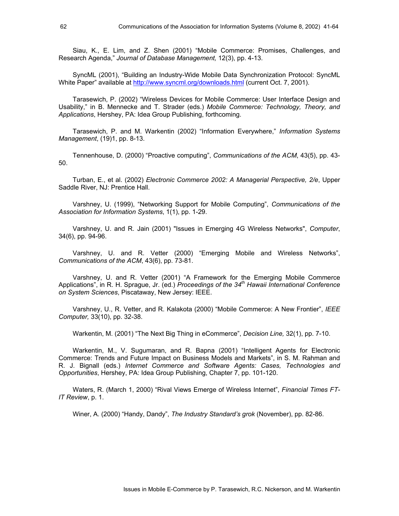Siau, K., E. Lim, and Z. Shen (2001) "Mobile Commerce: Promises, Challenges, and Research Agenda," *Journal of Database Management,* 12(3), pp. 4-13.

SyncML (2001), "Building an Industry-Wide Mobile Data Synchronization Protocol: SyncML White Paper" available at http://www.syncml.org/downloads.html (current Oct. 7, 2001).

Tarasewich, P. (2002) "Wireless Devices for Mobile Commerce: User Interface Design and Usability," in B. Mennecke and T. Strader (eds.) *Mobile Commerce: Technology, Theory, and Applications*, Hershey, PA: Idea Group Publishing, forthcoming.

Tarasewich, P. and M. Warkentin (2002) "Information Everywhere," *Information Systems Management*, (19)1, pp. 8-13.

Tennenhouse, D. (2000) "Proactive computing", *Communications of the ACM*, 43(5), pp. 43- 50.

Turban, E., et al. (2002) *Electronic Commerce 2002: A Managerial Perspective, 2/e*, Upper Saddle River, NJ: Prentice Hall.

Varshney, U. (1999), "Networking Support for Mobile Computing", *Communications of the Association for Information Systems*, 1(1), pp. 1-29.

Varshney, U. and R. Jain (2001) "Issues in Emerging 4G Wireless Networks", *Computer*, 34(6), pp. 94-96.

Varshney, U. and R. Vetter (2000) "Emerging Mobile and Wireless Networks", *Communications of the ACM*, 43(6), pp. 73-81.

Varshney, U. and R. Vetter (2001) "A Framework for the Emerging Mobile Commerce Applications", in R. H. Sprague, Jr. (ed.) *Proceedings of the 34th Hawaii International Conference on System Sciences*, Piscataway, New Jersey: IEEE.

Varshney, U., R. Vetter, and R. Kalakota (2000) "Mobile Commerce: A New Frontier", *IEEE Computer,* 33(10), pp. 32-38.

Warkentin, M. (2001) "The Next Big Thing in eCommerce", *Decision Line,* 32(1), pp. 7-10.

Warkentin, M., V. Sugumaran, and R. Bapna (2001) "Intelligent Agents for Electronic Commerce: Trends and Future Impact on Business Models and Markets", in S. M. Rahman and R. J. Bignall (eds.) *Internet Commerce and Software Agents: Cases, Technologies and Opportunities*, Hershey, PA: Idea Group Publishing, Chapter 7, pp. 101-120.

Waters, R. (March 1, 2000) "Rival Views Emerge of Wireless Internet", *Financial Times FT-IT Review*, p. 1.

Winer, A. (2000) "Handy, Dandy", *The Industry Standard's grok* (November), pp. 82-86.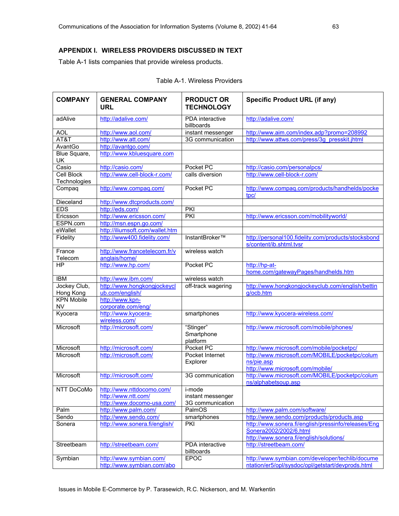#### **APPENDIX I. WIRELESS PROVIDERS DISCUSSED IN TEXT**

Table A-1 lists companies that provide wireless products.

| <b>COMPANY</b>     | <b>GENERAL COMPANY</b><br><b>URL</b> | <b>PRODUCT OR</b><br><b>TECHNOLOGY</b> | <b>Specific Product URL (if any)</b>                                           |
|--------------------|--------------------------------------|----------------------------------------|--------------------------------------------------------------------------------|
| adAlive            | http://adalive.com/                  | PDA interactive<br>billboards          | http://adalive.com/                                                            |
| <b>AOL</b>         | http://www.aol.com/                  | instant messenger                      | http://www.aim.com/index.adp?promo=208992                                      |
| AT&T               | http://www.att.com/                  | 3G communication                       | http://www.attws.com/press/3g_presskit.jhtml                                   |
| AvantGo            | http://avantgo.com/                  |                                        |                                                                                |
| Blue Square,<br>UK | http://www.kbluesquare.com           |                                        |                                                                                |
| Casio              | http://casio.com/                    | Pocket PC                              | http://casio.com/personalpcs/                                                  |
| <b>Cell Block</b>  | http://www.cell-block-r.com/         | calls diversion                        | http://www.cell-block-r.com/                                                   |
| Technologies       |                                      |                                        |                                                                                |
| Compaq             | http://www.compaq.com/               | Pocket PC                              | http://www.compaq.com/products/handhelds/pocke<br>tpc/                         |
| Dieceland          | http://www.dtcproducts.com/          |                                        |                                                                                |
| <b>EDS</b>         | http://eds.com/                      | <b>PKI</b>                             |                                                                                |
| Ericsson           | http://www.ericsson.com/             | $\overline{PKI}$                       | http://www.ericsson.com/mobilityworld/                                         |
| ESPN.com           | http://msn.espn.go.com/              |                                        |                                                                                |
| eWallet            | http://iliumsoft.com/wallet.htm      |                                        |                                                                                |
| Fidelity           | http://www400.fidelity.com/          | InstantBroker™                         | http://personal100.fidelity.com/products/stocksbond<br>s/content/ib.shtml.tvsr |
| France             | http://www.francetelecom.fr/v        | wireless watch                         |                                                                                |
| Telecom            | anglais/home/                        |                                        |                                                                                |
| HP                 | http://www.hp.com/                   | Pocket PC                              | http://hp-at-<br>home.com/gatewayPages/handhelds.htm                           |
| <b>IBM</b>         | http://www.ibm.com/                  | wireless watch                         |                                                                                |
| Jockey Club,       | http://www.hongkongjockeycl          | off-track wagering                     | http://www.hongkongjockeyclub.com/english/bettin                               |
| Hong Kong          | ub.com/english/                      |                                        | g/ocb.htm                                                                      |
| <b>KPN Mobile</b>  | http://www.kpn-                      |                                        |                                                                                |
| <b>NV</b>          | corporate.com/eng/                   |                                        |                                                                                |
| Kyocera            | http://www.kyocera-<br>wireless.com/ | smartphones                            | http://www.kyocera-wireless.com/                                               |
| Microsoft          | http://microsoft.com/                | "Stinger"<br>Smartphone<br>platform    | http://www.microsoft.com/mobile/phones/                                        |
| Microsoft          | http://microsoft.com/                | Pocket PC                              | http://www.microsoft.com/mobile/pocketpc/                                      |
| Microsoft          | http://microsoft.com/                | Pocket Internet                        | http://www.microsoft.com/MOBILE/pocketpc/colum                                 |
|                    |                                      | Explorer                               | ns/pie.asp                                                                     |
|                    |                                      |                                        | http://www.microsoft.com/mobile/                                               |
| Microsoft          | http://microsoft.com/                | 3G communication                       | http://www.microsoft.com/MOBILE/pocketpc/colum<br>ns/alphabetsoup.asp          |
| <b>NTT DoCoMo</b>  | http://www.nttdocomo.com/            | i-mode                                 |                                                                                |
|                    | http://www.ntt.com/                  | instant messenger                      |                                                                                |
|                    | http://www.docomo-usa.com/           | 3G communication                       |                                                                                |
| Palm               | http://www.palm.com/                 | PalmOS                                 | http://www.palm.com/software/                                                  |
| Sendo              | http://www.sendo.com/                | smartphones                            | http://www.sendo.com/products/products.asp                                     |
| Sonera             | http://www.sonera.fi/english/        | PKI                                    | http://www.sonera.fi/english/pressinfo/releases/Eng                            |
|                    |                                      |                                        | Sonera2002/2002/6.html<br>http://www.sonera.fi/english/solutions/              |
| Streetbeam         | http://streetbeam.com/               | PDA interactive<br>billboards          | http://streetbeam.com/                                                         |
| Symbian            | http://www.symbian.com/              | <b>EPOC</b>                            | http://www.symbian.com/developer/techlib/docume                                |
|                    | http://www.symbian.com/abo           |                                        | ntation/er5/opl/sysdoc/opl/getstart/devprods.html                              |

| Table A-1. Wireless Providers |  |  |
|-------------------------------|--|--|
|-------------------------------|--|--|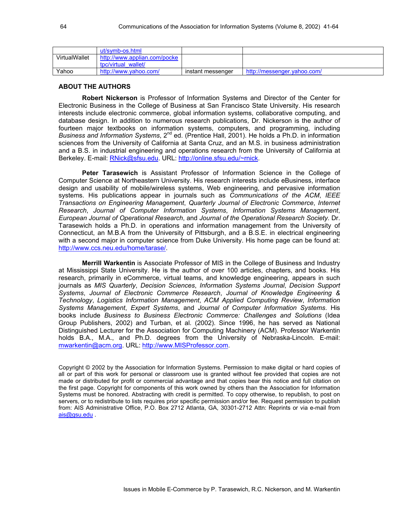|                      | ut/symb-os.html              |                   |                             |
|----------------------|------------------------------|-------------------|-----------------------------|
| <b>VirtualWallet</b> | http://www.applian.com/pocke |                   |                             |
|                      | toc/virtual wallet/          |                   |                             |
| Yahoo                | http://www.yahoo.com/        | instant messenger | http://messenger.yahoo.com/ |

#### **ABOUT THE AUTHORS**

**Robert Nickerson** is Professor of Information Systems and Director of the Center for Electronic Business in the College of Business at San Francisco State University. His research interests include electronic commerce, global information systems, collaborative computing, and database design. In addition to numerous research publications, Dr. Nickerson is the author of fourteen major textbooks on information systems, computers, and programming, including *Business and Information Systems*, 2<sup>nd</sup> ed. (Prentice Hall, 2001). He holds a Ph.D. in information sciences from the University of California at Santa Cruz, and an M.S. in business administration and a B.S. in industrial engineering and operations research from the University of California at Berkeley. E-mail: RNick@sfsu.edu. URL: http://online.sfsu.edu/~rnick.

**Peter Tarasewich** is Assistant Professor of Information Science in the College of Computer Science at Northeastern University. His research interests include eBusiness, interface design and usability of mobile/wireless systems, Web engineering, and pervasive information systems. His publications appear in journals such as *Communications of the ACM*, *IEEE Transactions on Engineering Management*, *Quarterly Journal of Electronic Commerce*, *Internet Research*, *Journal of Computer Information Systems*, *Information Systems Management*, *European Journal of Operational Research*, and *Journal of the Operational Research Society*. Dr. Tarasewich holds a Ph.D. in operations and information management from the University of Connecticut, an M.B.A from the University of Pittsburgh, and a B.S.E. in electrical engineering with a second major in computer science from Duke University. His home page can be found at: http://www.ccs.neu.edu/home/tarase/.

**Merrill Warkentin** is Associate Professor of MIS in the College of Business and Industry at Mississippi State University. He is the author of over 100 articles, chapters, and books. His research, primarily in eCommerce, virtual teams, and knowledge engineering, appears in such journals as *MIS Quarterly*, *Decision Sciences*, *Information Systems Journal*, *Decision Support Systems*, *Journal of Electronic Commerce Research*, *Journal of Knowledge Engineering & Technology*, *Logistics Information Management*, *ACM Applied Computing Review*, *Information Systems Management*, *Expert Systems*, and *Journal of Computer Information Systems*. His books include *Business to Business Electronic Commerce: Challenges and Solutions* (Idea Group Publishers, 2002) and Turban, et al. (2002). Since 1996, he has served as National Distinguished Lecturer for the Association for Computing Machinery (ACM). Professor Warkentin holds B.A., M.A., and Ph.D. degrees from the University of Nebraska-Lincoln. E-mail: mwarkentin@acm.org. URL: http://www.MISProfessor.com.

Copyright © 2002 by the Association for Information Systems. Permission to make digital or hard copies of all or part of this work for personal or classroom use is granted without fee provided that copies are not made or distributed for profit or commercial advantage and that copies bear this notice and full citation on the first page. Copyright for components of this work owned by others than the Association for Information Systems must be honored. Abstracting with credit is permitted. To copy otherwise, to republish, to post on servers, or to redistribute to lists requires prior specific permission and/or fee. Request permission to publish from: AIS Administrative Office, P.O. Box 2712 Atlanta, GA, 30301-2712 Attn: Reprints or via e-mail from ais@gsu.edu .